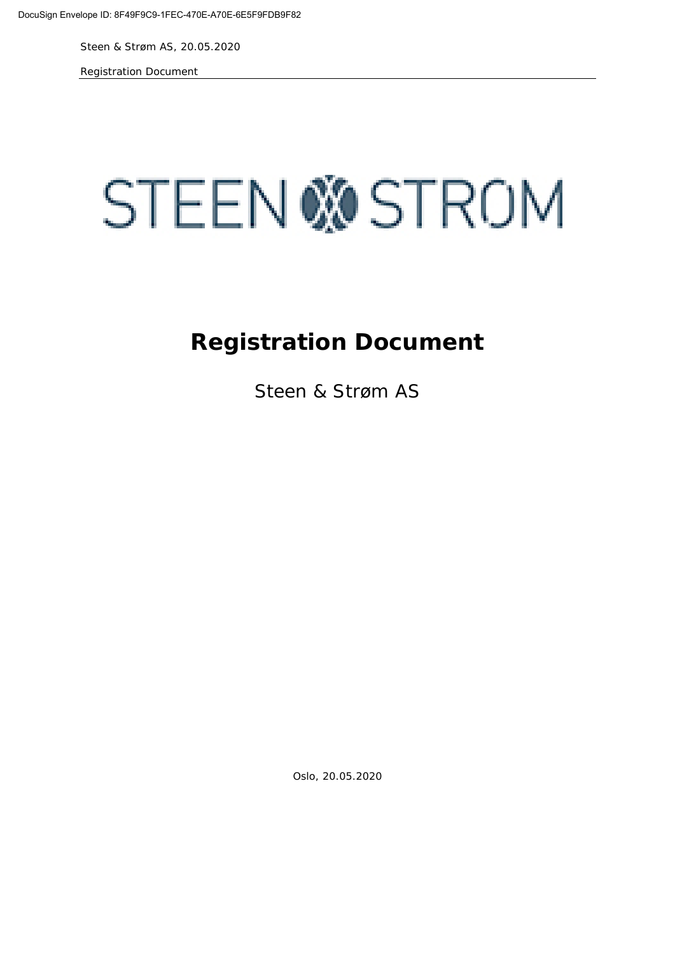Registration Document



# **Registration Document**

Steen & Strøm AS

Oslo, 20.05.2020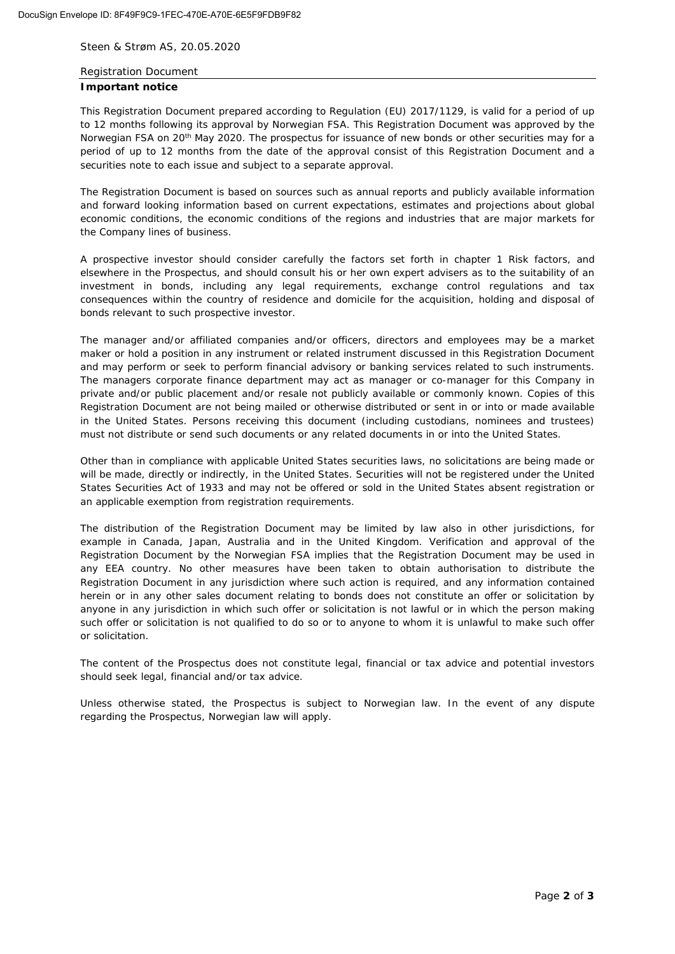#### Registration Document

#### **Important notice**

This Registration Document prepared according to Regulation (EU) 2017/1129, is valid for a period of up to 12 months following its approval by Norwegian FSA. This Registration Document was approved by the Norwegian FSA on 20<sup>th</sup> May 2020. The prospectus for issuance of new bonds or other securities may for a period of up to 12 months from the date of the approval consist of this Registration Document and a securities note to each issue and subject to a separate approval.

The Registration Document is based on sources such as annual reports and publicly available information and forward looking information based on current expectations, estimates and projections about global economic conditions, the economic conditions of the regions and industries that are major markets for the Company lines of business.

A prospective investor should consider carefully the factors set forth in chapter 1 Risk factors, and elsewhere in the Prospectus, and should consult his or her own expert advisers as to the suitability of an investment in bonds, including any legal requirements, exchange control regulations and tax consequences within the country of residence and domicile for the acquisition, holding and disposal of bonds relevant to such prospective investor.

The manager and/or affiliated companies and/or officers, directors and employees may be a market maker or hold a position in any instrument or related instrument discussed in this Registration Document and may perform or seek to perform financial advisory or banking services related to such instruments. The managers corporate finance department may act as manager or co-manager for this Company in private and/or public placement and/or resale not publicly available or commonly known. Copies of this Registration Document are not being mailed or otherwise distributed or sent in or into or made available in the United States. Persons receiving this document (including custodians, nominees and trustees) must not distribute or send such documents or any related documents in or into the United States.

Other than in compliance with applicable United States securities laws, no solicitations are being made or will be made, directly or indirectly, in the United States. Securities will not be registered under the United States Securities Act of 1933 and may not be offered or sold in the United States absent registration or an applicable exemption from registration requirements.

The distribution of the Registration Document may be limited by law also in other jurisdictions, for example in Canada, Japan, Australia and in the United Kingdom. Verification and approval of the Registration Document by the Norwegian FSA implies that the Registration Document may be used in any EEA country. No other measures have been taken to obtain authorisation to distribute the Registration Document in any jurisdiction where such action is required, and any information contained herein or in any other sales document relating to bonds does not constitute an offer or solicitation by anyone in any jurisdiction in which such offer or solicitation is not lawful or in which the person making such offer or solicitation is not qualified to do so or to anyone to whom it is unlawful to make such offer or solicitation.

The content of the Prospectus does not constitute legal, financial or tax advice and potential investors should seek legal, financial and/or tax advice.

Unless otherwise stated, the Prospectus is subject to Norwegian law. In the event of any dispute regarding the Prospectus, Norwegian law will apply.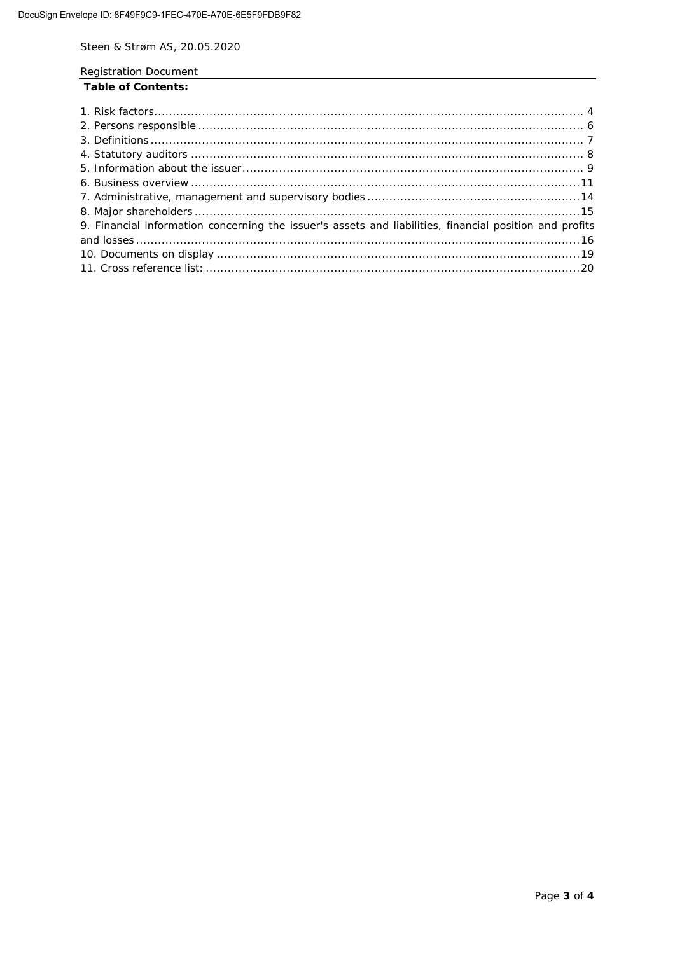**Registration Document** 

### **Table of Contents:**

| 9. Financial information concerning the issuer's assets and liabilities, financial position and profits |  |
|---------------------------------------------------------------------------------------------------------|--|
|                                                                                                         |  |
|                                                                                                         |  |
|                                                                                                         |  |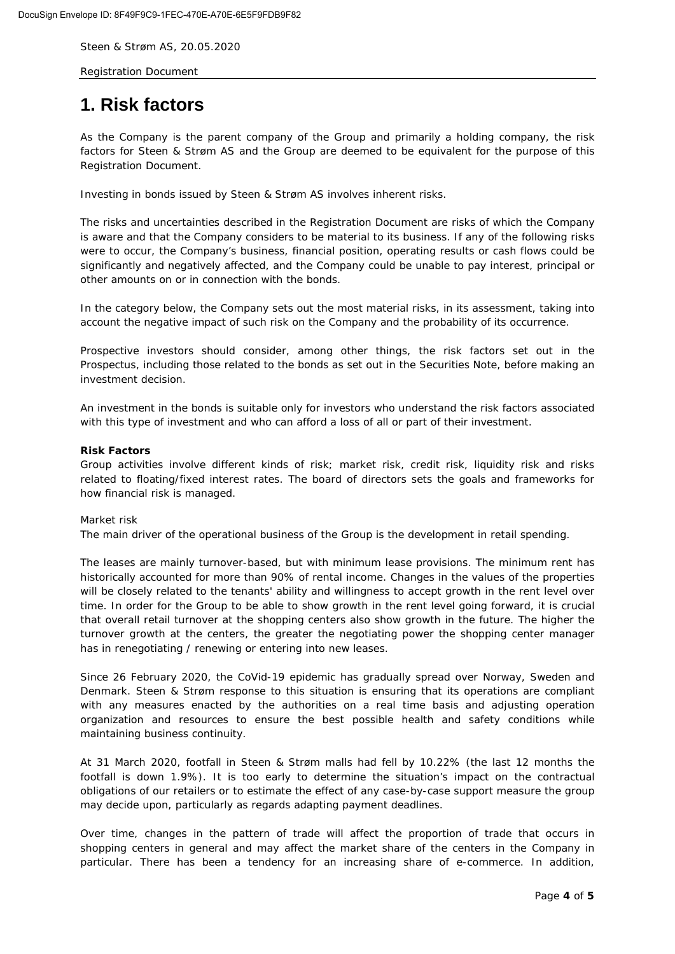Registration Document

# <span id="page-3-0"></span>**1. Risk factors**

As the Company is the parent company of the Group and primarily a holding company, the risk factors for Steen & Strøm AS and the Group are deemed to be equivalent for the purpose of this Registration Document.

Investing in bonds issued by Steen & Strøm AS involves inherent risks.

The risks and uncertainties described in the Registration Document are risks of which the Company is aware and that the Company considers to be material to its business. If any of the following risks were to occur, the Company's business, financial position, operating results or cash flows could be significantly and negatively affected, and the Company could be unable to pay interest, principal or other amounts on or in connection with the bonds.

In the category below, the Company sets out the most material risks, in its assessment, taking into account the negative impact of such risk on the Company and the probability of its occurrence.

Prospective investors should consider, among other things, the risk factors set out in the Prospectus, including those related to the bonds as set out in the Securities Note, before making an investment decision.

An investment in the bonds is suitable only for investors who understand the risk factors associated with this type of investment and who can afford a loss of all or part of their investment.

### **Risk Factors**

Group activities involve different kinds of risk; market risk, credit risk, liquidity risk and risks related to floating/fixed interest rates. The board of directors sets the goals and frameworks for how financial risk is managed.

#### *Market risk*

The main driver of the operational business of the Group is the development in retail spending.

The leases are mainly turnover-based, but with minimum lease provisions. The minimum rent has historically accounted for more than 90% of rental income. Changes in the values of the properties will be closely related to the tenants' ability and willingness to accept growth in the rent level over time. In order for the Group to be able to show growth in the rent level going forward, it is crucial that overall retail turnover at the shopping centers also show growth in the future. The higher the turnover growth at the centers, the greater the negotiating power the shopping center manager has in renegotiating / renewing or entering into new leases.

Since 26 February 2020, the CoVid-19 epidemic has gradually spread over Norway, Sweden and Denmark. Steen & Strøm response to this situation is ensuring that its operations are compliant with any measures enacted by the authorities on a real time basis and adjusting operation organization and resources to ensure the best possible health and safety conditions while maintaining business continuity.

At 31 March 2020, footfall in Steen & Strøm malls had fell by 10.22% (the last 12 months the footfall is down 1.9%). It is too early to determine the situation's impact on the contractual obligations of our retailers or to estimate the effect of any case-by-case support measure the group may decide upon, particularly as regards adapting payment deadlines.

Over time, changes in the pattern of trade will affect the proportion of trade that occurs in shopping centers in general and may affect the market share of the centers in the Company in particular. There has been a tendency for an increasing share of e-commerce. In addition,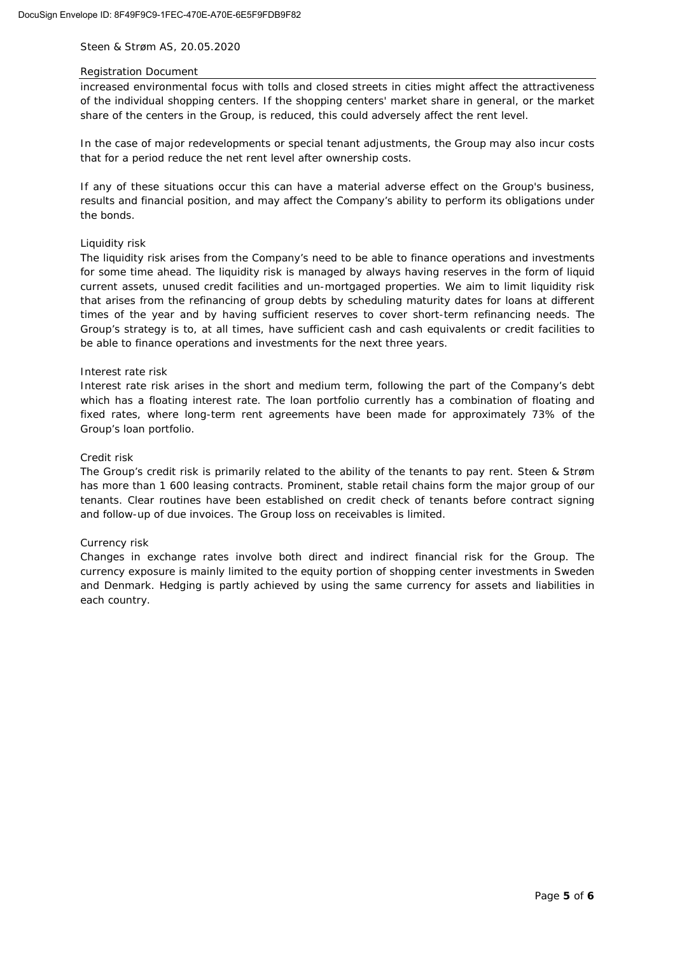#### Registration Document

increased environmental focus with tolls and closed streets in cities might affect the attractiveness of the individual shopping centers. If the shopping centers' market share in general, or the market share of the centers in the Group, is reduced, this could adversely affect the rent level.

In the case of major redevelopments or special tenant adjustments, the Group may also incur costs that for a period reduce the net rent level after ownership costs.

If any of these situations occur this can have a material adverse effect on the Group's business, results and financial position, and may affect the Company's ability to perform its obligations under the bonds.

#### *Liquidity risk*

The liquidity risk arises from the Company's need to be able to finance operations and investments for some time ahead. The liquidity risk is managed by always having reserves in the form of liquid current assets, unused credit facilities and un-mortgaged properties. We aim to limit liquidity risk that arises from the refinancing of group debts by scheduling maturity dates for loans at different times of the year and by having sufficient reserves to cover short-term refinancing needs. The Group's strategy is to, at all times, have sufficient cash and cash equivalents or credit facilities to be able to finance operations and investments for the next three years.

#### *Interest rate risk*

Interest rate risk arises in the short and medium term, following the part of the Company's debt which has a floating interest rate. The loan portfolio currently has a combination of floating and fixed rates, where long-term rent agreements have been made for approximately 73% of the Group's loan portfolio.

### *Credit risk*

The Group's credit risk is primarily related to the ability of the tenants to pay rent. Steen & Strøm has more than 1 600 leasing contracts. Prominent, stable retail chains form the major group of our tenants. Clear routines have been established on credit check of tenants before contract signing and follow-up of due invoices. The Group loss on receivables is limited.

### *Currency risk*

Changes in exchange rates involve both direct and indirect financial risk for the Group. The currency exposure is mainly limited to the equity portion of shopping center investments in Sweden and Denmark. Hedging is partly achieved by using the same currency for assets and liabilities in each country.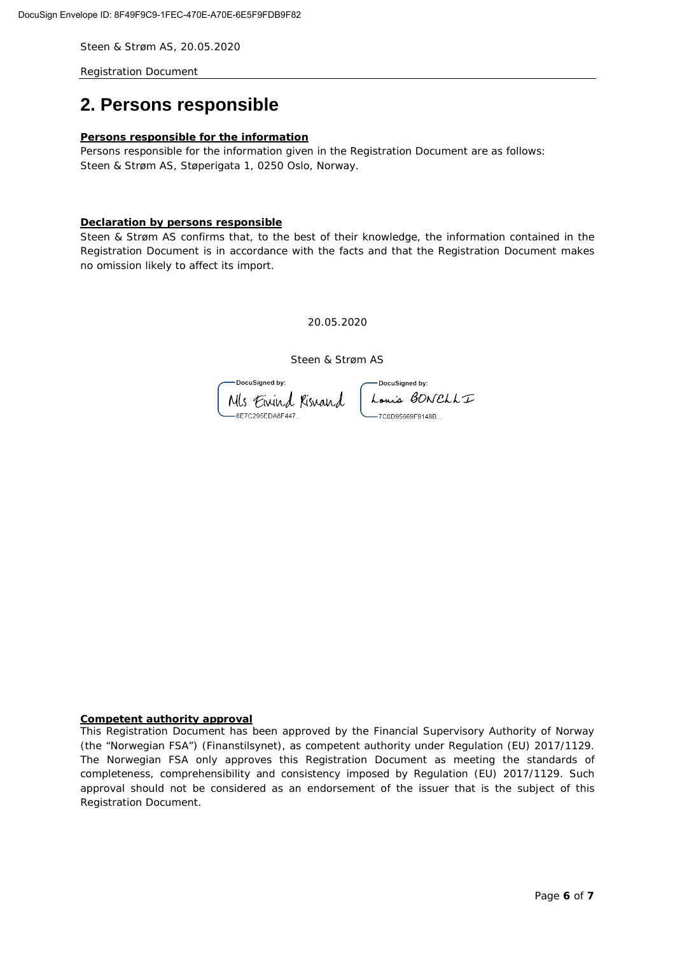<span id="page-5-0"></span>Registration Document

## **2. Persons responsible**

#### **Persons responsible for the information**

Persons responsible for the information given in the Registration Document are as follows: Steen & Strøm AS, Støperigata 1, 0250 Oslo, Norway.

### **Declaration by persons responsible**

Steen & Strøm AS confirms that, to the best of their knowledge, the information contained in the Registration Document is in accordance with the facts and that the Registration Document makes no omission likely to affect its import.

20.05.2020

Steen & Strøm AS

DocuSigned by: -DocuSianed by: Mls Einind Risnand -<br>6E7C295EDA8F447

Louis BONELLI -7C0D95669F9148B..

#### **Competent authority approval**

This Registration Document has been approved by the Financial Supervisory Authority of Norway (the "Norwegian FSA") (Finanstilsynet), as competent authority under Regulation (EU) 2017/1129. The Norwegian FSA only approves this Registration Document as meeting the standards of completeness, comprehensibility and consistency imposed by Regulation (EU) 2017/1129. Such approval should not be considered as an endorsement of the issuer that is the subject of this Registration Document.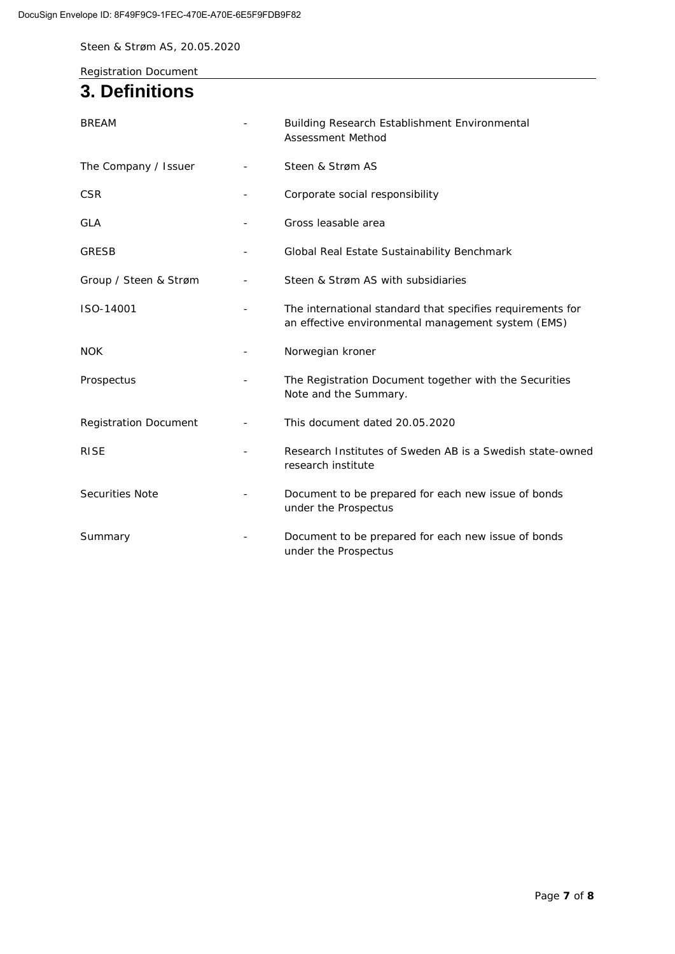Registration Document

# <span id="page-6-0"></span>**3. Definitions**

| <b>BREAM</b>                 |   | Building Research Establishment Environmental<br>Assessment Method                                               |  |  |
|------------------------------|---|------------------------------------------------------------------------------------------------------------------|--|--|
| The Company / Issuer         |   | Steen & Strøm AS                                                                                                 |  |  |
| <b>CSR</b>                   |   | Corporate social responsibility                                                                                  |  |  |
| <b>GLA</b>                   |   | Gross leasable area                                                                                              |  |  |
| <b>GRESB</b>                 | - | Global Real Estate Sustainability Benchmark                                                                      |  |  |
| Group / Steen & Strøm        |   | Steen & Strøm AS with subsidiaries                                                                               |  |  |
| ISO-14001                    |   | The international standard that specifies requirements for<br>an effective environmental management system (EMS) |  |  |
| <b>NOK</b>                   |   | Norwegian kroner                                                                                                 |  |  |
| Prospectus                   |   | The Registration Document together with the Securities<br>Note and the Summary.                                  |  |  |
| <b>Registration Document</b> |   | This document dated 20.05.2020                                                                                   |  |  |
| <b>RISE</b>                  |   | Research Institutes of Sweden AB is a Swedish state-owned<br>research institute                                  |  |  |
| <b>Securities Note</b>       |   | Document to be prepared for each new issue of bonds<br>under the Prospectus                                      |  |  |
| Summary                      |   | Document to be prepared for each new issue of bonds<br>under the Prospectus                                      |  |  |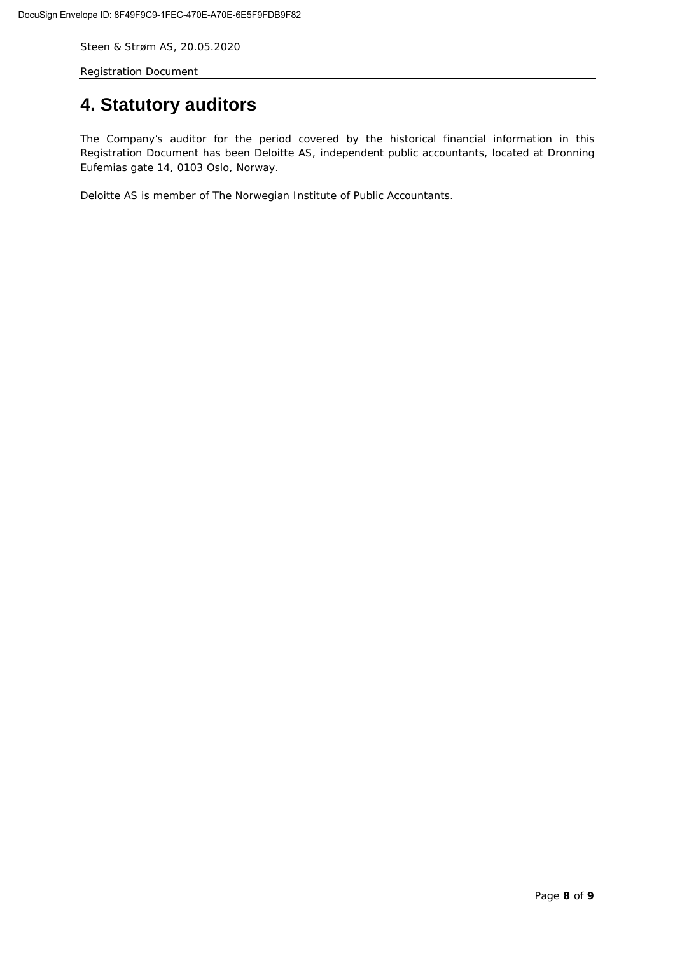Registration Document

# <span id="page-7-0"></span>**4. Statutory auditors**

The Company's auditor for the period covered by the historical financial information in this Registration Document has been Deloitte AS, independent public accountants, located at Dronning Eufemias gate 14, 0103 Oslo, Norway.

Deloitte AS is member of The Norwegian Institute of Public Accountants.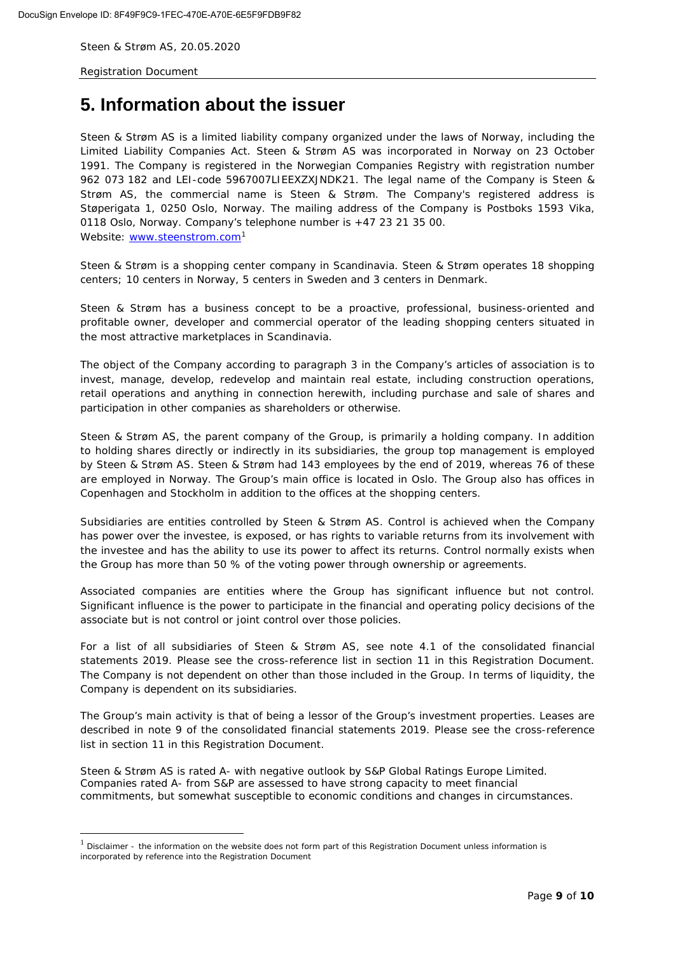Registration Document

# <span id="page-8-0"></span>**5. Information about the issuer**

Steen & Strøm AS is a limited liability company organized under the laws of Norway, including the Limited Liability Companies Act. Steen & Strøm AS was incorporated in Norway on 23 October 1991. The Company is registered in the Norwegian Companies Registry with registration number 962 073 182 and LEI-code 5967007LIEEXZXJNDK21. The legal name of the Company is Steen & Strøm AS, the commercial name is Steen & Strøm. The Company's registered address is Støperigata 1, 0250 Oslo, Norway. The mailing address of the Company is Postboks 1593 Vika, 0118 Oslo, Norway. Company's telephone number is +47 23 21 35 00. Website: [www.steenstrom.com](http://www.steenstrom.com/)<sup>[1](#page-8-1)</sup>

Steen & Strøm is a shopping center company in Scandinavia. Steen & Strøm operates 18 shopping centers; 10 centers in Norway, 5 centers in Sweden and 3 centers in Denmark.

Steen & Strøm has a business concept to *be a proactive, professional, business-oriented and profitable owner, developer and commercial operator of the leading shopping centers situated in the most attractive marketplaces in Scandinavia.*

The object of the Company according to paragraph 3 in the Company's articles of association is to invest, manage, develop, redevelop and maintain real estate, including construction operations, retail operations and anything in connection herewith, including purchase and sale of shares and participation in other companies as shareholders or otherwise.

Steen & Strøm AS, the parent company of the Group, is primarily a holding company. In addition to holding shares directly or indirectly in its subsidiaries, the group top management is employed by Steen & Strøm AS. Steen & Strøm had 143 employees by the end of 2019, whereas 76 of these are employed in Norway. The Group's main office is located in Oslo. The Group also has offices in Copenhagen and Stockholm in addition to the offices at the shopping centers.

Subsidiaries are entities controlled by Steen & Strøm AS. Control is achieved when the Company has power over the investee, is exposed, or has rights to variable returns from its involvement with the investee and has the ability to use its power to affect its returns. Control normally exists when the Group has more than 50 % of the voting power through ownership or agreements.

Associated companies are entities where the Group has significant influence but not control. Significant influence is the power to participate in the financial and operating policy decisions of the associate but is not control or joint control over those policies.

For a list of all subsidiaries of Steen & Strøm AS, see note 4.1 of the consolidated financial statements 2019. Please see the cross-reference list in section 11 in this Registration Document. The Company is not dependent on other than those included in the Group. In terms of liquidity, the Company is dependent on its subsidiaries.

The Group's main activity is that of being a lessor of the Group's investment properties. Leases are described in note 9 of the consolidated financial statements 2019. Please see the cross-reference list in section 11 in this Registration Document.

Steen & Strøm AS is rated A- with negative outlook by S&P Global Ratings Europe Limited. Companies rated A- from S&P are assessed to have strong capacity to meet financial commitments, but somewhat susceptible to economic conditions and changes in circumstances.

<span id="page-8-1"></span><sup>1</sup> *Disclaimer - the information on the website does not form part of this Registration Document unless information is incorporated by reference into the Registration Document*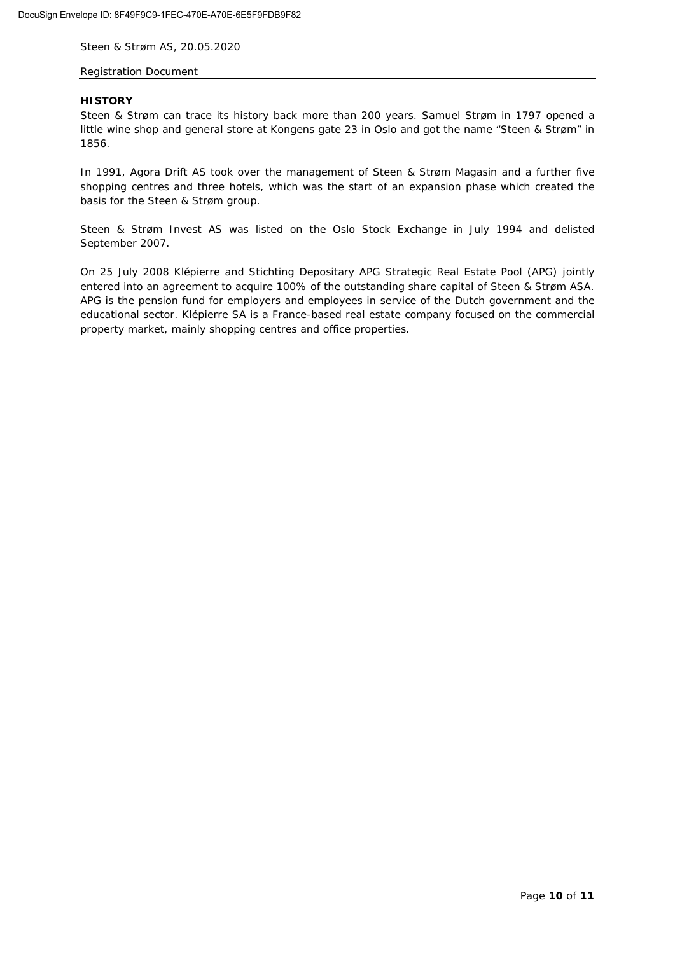### Registration Document

#### **HISTORY**

Steen & Strøm can trace its history back more than 200 years. Samuel Strøm in 1797 opened a little wine shop and general store at Kongens gate 23 in Oslo and got the name "Steen & Strøm" in 1856.

In 1991, Agora Drift AS took over the management of Steen & Strøm Magasin and a further five shopping centres and three hotels, which was the start of an expansion phase which created the basis for the Steen & Strøm group.

Steen & Strøm Invest AS was listed on the Oslo Stock Exchange in July 1994 and delisted September 2007.

On 25 July 2008 Klépierre and Stichting Depositary APG Strategic Real Estate Pool (APG) jointly entered into an agreement to acquire 100% of the outstanding share capital of Steen & Strøm ASA. APG is the pension fund for employers and employees in service of the Dutch government and the educational sector. Klépierre SA is a France-based real estate company focused on the commercial property market, mainly shopping centres and office properties.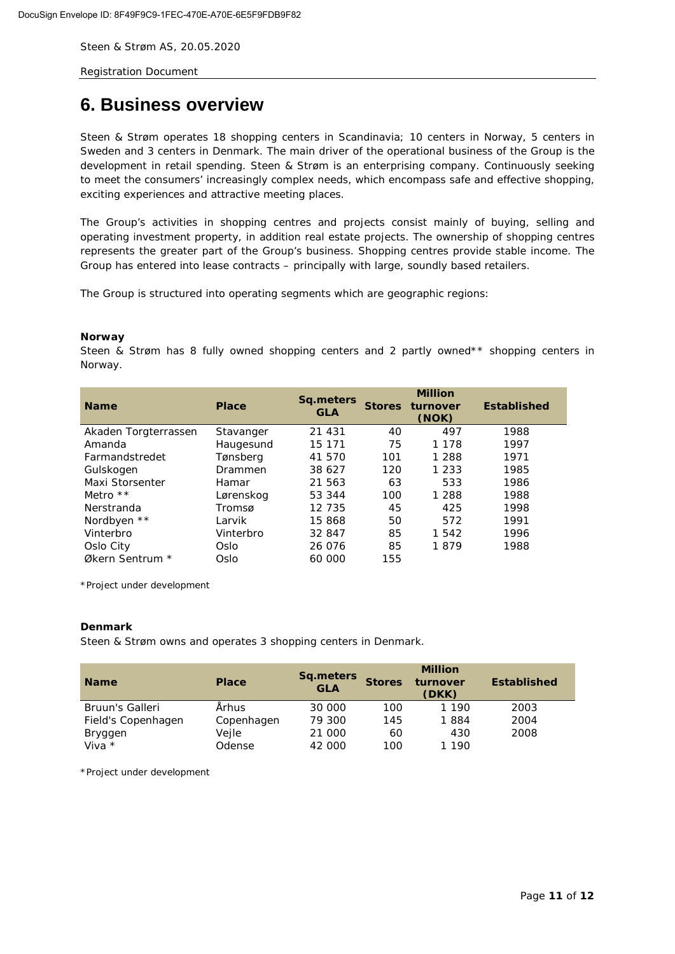<span id="page-10-0"></span>Registration Document

# **6. Business overview**

Steen & Strøm operates 18 shopping centers in Scandinavia; 10 centers in Norway, 5 centers in Sweden and 3 centers in Denmark. The main driver of the operational business of the Group is the development in retail spending. Steen & Strøm is an enterprising company. Continuously seeking to meet the consumers' increasingly complex needs, which encompass safe and effective shopping, exciting experiences and attractive meeting places.

The Group's activities in shopping centres and projects consist mainly of buying, selling and operating investment property, in addition real estate projects. The ownership of shopping centres represents the greater part of the Group's business. Shopping centres provide stable income. The Group has entered into lease contracts – principally with large, soundly based retailers.

The Group is structured into operating segments which are geographic regions:

#### *Norway*

Steen & Strøm has 8 fully owned shopping centers and 2 partly owned\*\* shopping centers in Norway.

| <b>Name</b>          | <b>Place</b> | <b>Sq.meters</b><br><b>GLA</b> | <b>Stores</b> | <b>Million</b><br>turnover<br>(NOK) | <b>Established</b> |
|----------------------|--------------|--------------------------------|---------------|-------------------------------------|--------------------|
| Akaden Torgterrassen | Stavanger    | 21 431                         | 40            | 497                                 | 1988               |
| Amanda               | Haugesund    | 15 171                         | 75            | 1 1 7 8                             | 1997               |
| Farmandstredet       | Tønsberg     | 41 570                         | 101           | 1 2 8 8                             | 1971               |
| Gulskogen            | Drammen      | 38 627                         | 120           | 1 2 3 3                             | 1985               |
| Maxi Storsenter      | Hamar        | 21 563                         | 63            | 533                                 | 1986               |
| Metro $**$           | Lørenskog    | 53 344                         | 100           | 1 2 8 8                             | 1988               |
| Nerstranda           | Tromsø       | 12 735                         | 45            | 425                                 | 1998               |
| Nordbyen **          | Larvik       | 15 868                         | 50            | 572                                 | 1991               |
| Vinterbro            | Vinterbro    | 32 847                         | 85            | 1 5 4 2                             | 1996               |
| Oslo City            | Oslo         | 26 076                         | 85            | 1879                                | 1988               |
| Økern Sentrum *      | Oslo         | 60 000                         | 155           |                                     |                    |

\*Project under development

#### *Denmark*

Steen & Strøm owns and operates 3 shopping centers in Denmark.

| <b>Name</b>        | <b>Place</b> | Sq.meters<br><b>GLA</b> | <b>Stores</b> | <b>Million</b><br>turnover<br>(DKK) | <b>Established</b> |
|--------------------|--------------|-------------------------|---------------|-------------------------------------|--------------------|
| Bruun's Galleri    | Århus        | 30 000                  | 100           | 1 1 9 0                             | 2003               |
| Field's Copenhagen | Copenhagen   | 79 300                  | 145           | 1884                                | 2004               |
| Bryggen            | Veile        | 21 000                  | 60            | 430                                 | 2008               |
| Viva $*$           | Odense       | 42 000                  | 100           | 1 1 9 0                             |                    |

\*Project under development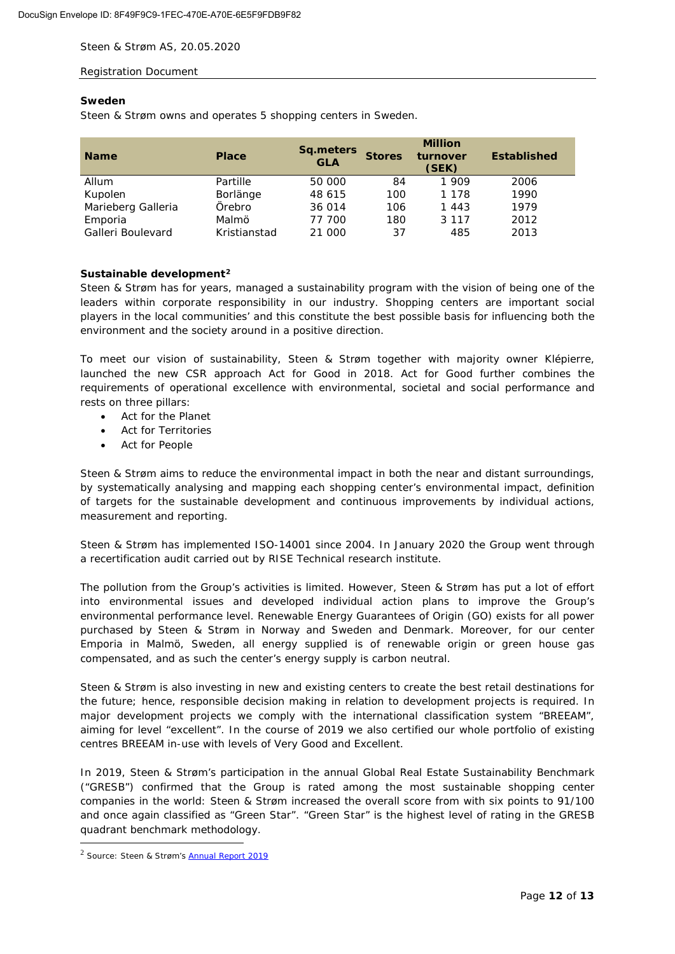### Registration Document

#### *Sweden*

Steen & Strøm owns and operates 5 shopping centers in Sweden.

| <b>Name</b>        | <b>Place</b> | <b>Sq.meters</b><br><b>GLA</b> | <b>Stores</b> | <b>Million</b><br>turnover<br>(SEK) | <b>Established</b> |
|--------------------|--------------|--------------------------------|---------------|-------------------------------------|--------------------|
| Allum              | Partille     | 50 000                         | 84            | 1909                                | 2006               |
| Kupolen            | Borlänge     | 48 615                         | 100           | 1 1 7 8                             | 1990               |
| Marieberg Galleria | Örebro       | 36 014                         | 106           | 1 4 4 3                             | 1979               |
| Emporia            | Malmö        | 77 700                         | 180           | 3 1 1 7                             | 2012               |
| Galleri Boulevard  | Kristianstad | 21 000                         | 37            | 485                                 | 2013               |

### *Sustainable development[2](#page-11-0)*

Steen & Strøm has for years, managed a sustainability program with the vision of being one of the leaders within corporate responsibility in our industry. Shopping centers are important social players in the local communities' and this constitute the best possible basis for influencing both the environment and the society around in a positive direction.

To meet our vision of sustainability, Steen & Strøm together with majority owner Klépierre, launched the new CSR approach Act for Good in 2018. Act for Good further combines the requirements of operational excellence with environmental, societal and social performance and rests on three pillars:

- Act for the Planet
- Act for Territories
- Act for People

Steen & Strøm aims to reduce the environmental impact in both the near and distant surroundings, by systematically analysing and mapping each shopping center's environmental impact, definition of targets for the sustainable development and continuous improvements by individual actions, measurement and reporting.

Steen & Strøm has implemented ISO-14001 since 2004. In January 2020 the Group went through a recertification audit carried out by RISE Technical research institute.

The pollution from the Group's activities is limited. However, Steen & Strøm has put a lot of effort into environmental issues and developed individual action plans to improve the Group's environmental performance level. Renewable Energy Guarantees of Origin (GO) exists for all power purchased by Steen & Strøm in Norway and Sweden and Denmark. Moreover, for our center Emporia in Malmö, Sweden, all energy supplied is of renewable origin or green house gas compensated, and as such the center's energy supply is carbon neutral.

Steen & Strøm is also investing in new and existing centers to create the best retail destinations for the future; hence, responsible decision making in relation to development projects is required. In major development projects we comply with the international classification system "BREEAM", aiming for level "excellent". In the course of 2019 we also certified our whole portfolio of existing centres BREEAM in-use with levels of Very Good and Excellent.

In 2019, Steen & Strøm's participation in the annual Global Real Estate Sustainability Benchmark ("GRESB") confirmed that the Group is rated among the most sustainable shopping center companies in the world: Steen & Strøm increased the overall score from with six points to 91/100 and once again classified as "Green Star". "Green Star" is the highest level of rating in the GRESB quadrant benchmark methodology.

<span id="page-11-0"></span><sup>2</sup> *Source: Steen & Strøm's [Annual Report 2019](https://newsweb.oslobors.no/message/499083)*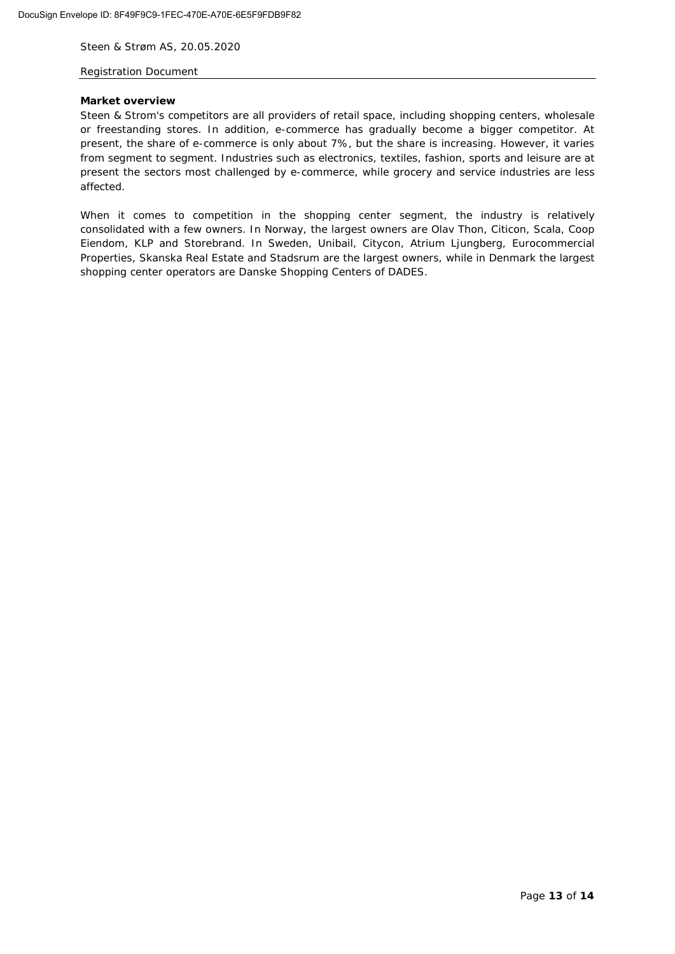### Registration Document

#### **Market overview**

Steen & Strom's competitors are all providers of retail space, including shopping centers, wholesale or freestanding stores. In addition, e-commerce has gradually become a bigger competitor. At present, the share of e-commerce is only about 7%, but the share is increasing. However, it varies from segment to segment. Industries such as electronics, textiles, fashion, sports and leisure are at present the sectors most challenged by e-commerce, while grocery and service industries are less affected.

When it comes to competition in the shopping center segment, the industry is relatively consolidated with a few owners. In Norway, the largest owners are Olav Thon, Citicon, Scala, Coop Eiendom, KLP and Storebrand. In Sweden, Unibail, Citycon, Atrium Ljungberg, Eurocommercial Properties, Skanska Real Estate and Stadsrum are the largest owners, while in Denmark the largest shopping center operators are Danske Shopping Centers of DADES.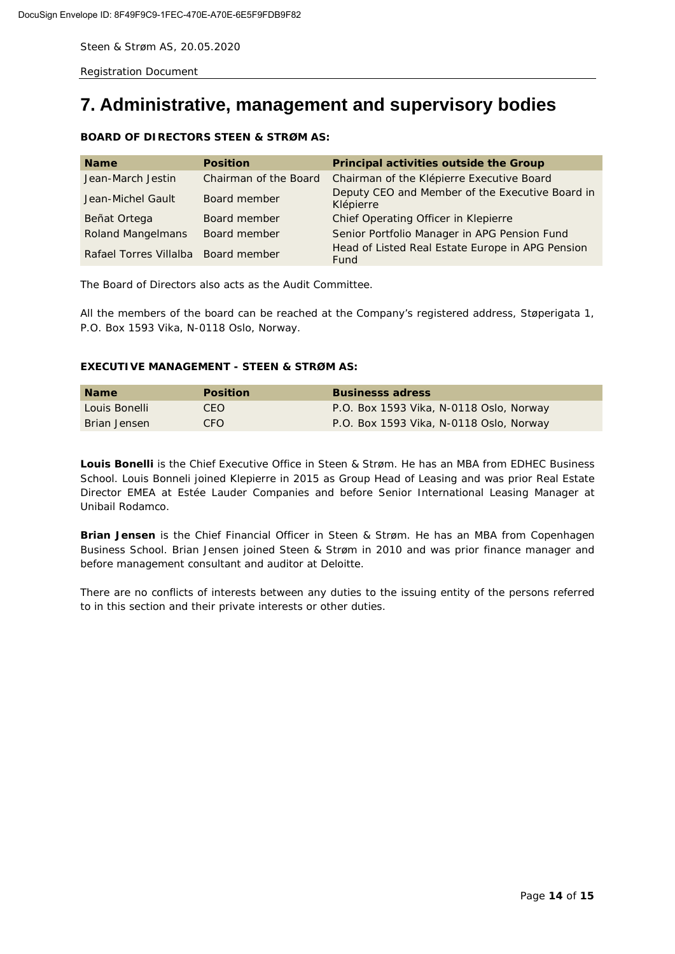<span id="page-13-0"></span>Registration Document

# **7. Administrative, management and supervisory bodies**

### **BOARD OF DIRECTORS STEEN & STRØM AS:**

| <b>Name</b>                         | <b>Position</b>       | Principal activities outside the Group                       |
|-------------------------------------|-----------------------|--------------------------------------------------------------|
| Jean-March Jestin                   | Chairman of the Board | Chairman of the Klépierre Executive Board                    |
| Jean-Michel Gault                   | Board member          | Deputy CEO and Member of the Executive Board in<br>Klépierre |
| Beñat Ortega                        | Board member          | Chief Operating Officer in Klepierre                         |
| <b>Roland Mangelmans</b>            | Board member          | Senior Portfolio Manager in APG Pension Fund                 |
| Rafael Torres Villalba Board member |                       | Head of Listed Real Estate Europe in APG Pension<br>Fund     |

The Board of Directors also acts as the Audit Committee.

All the members of the board can be reached at the Company's registered address, Støperigata 1, P.O. Box 1593 Vika, N-0118 Oslo, Norway.

### **EXECUTIVE MANAGEMENT - STEEN & STRØM AS:**

| <b>Name</b>   | <b>Position</b> | <b>Businesss adress</b>                 |
|---------------|-----------------|-----------------------------------------|
| Louis Bonelli | CEO.            | P.O. Box 1593 Vika, N-0118 Oslo, Norway |
| Brian Jensen  | CFO.            | P.O. Box 1593 Vika, N-0118 Oslo, Norway |

**Louis Bonelli** is the Chief Executive Office in Steen & Strøm. He has an MBA from EDHEC Business School. Louis Bonneli joined Klepierre in 2015 as Group Head of Leasing and was prior Real Estate Director EMEA at Estée Lauder Companies and before Senior International Leasing Manager at Unibail Rodamco.

**Brian Jensen** is the Chief Financial Officer in Steen & Strøm. He has an MBA from Copenhagen Business School. Brian Jensen joined Steen & Strøm in 2010 and was prior finance manager and before management consultant and auditor at Deloitte.

There are no conflicts of interests between any duties to the issuing entity of the persons referred to in this section and their private interests or other duties.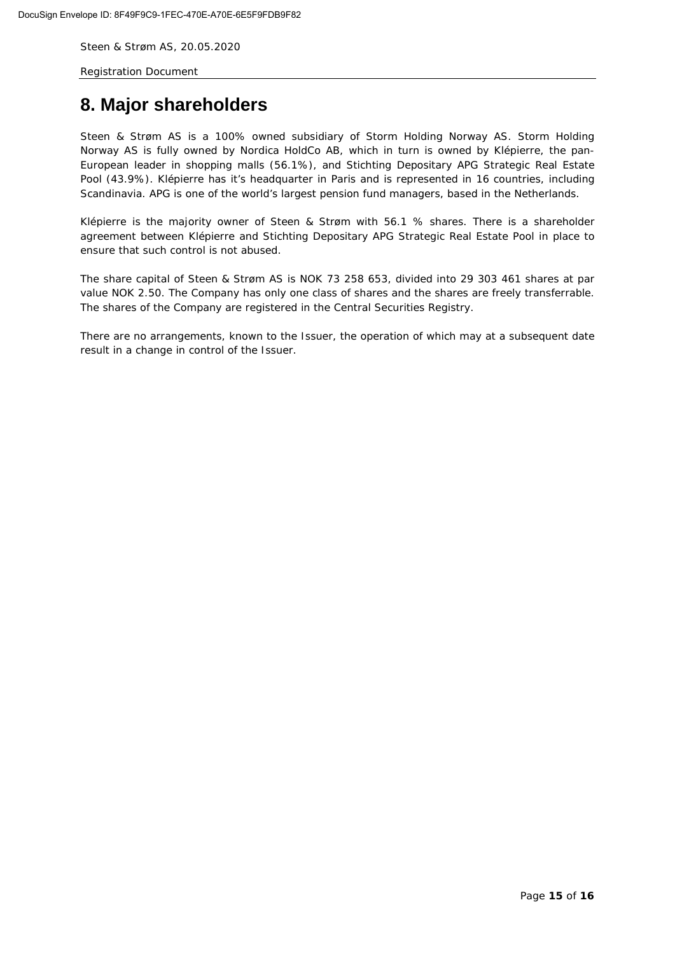<span id="page-14-0"></span>Registration Document

# **8. Major shareholders**

Steen & Strøm AS is a 100% owned subsidiary of Storm Holding Norway AS. Storm Holding Norway AS is fully owned by Nordica HoldCo AB, which in turn is owned by Klépierre, the pan-European leader in shopping malls (56.1%), and Stichting Depositary APG Strategic Real Estate Pool (43.9%). Klépierre has it's headquarter in Paris and is represented in 16 countries, including Scandinavia. APG is one of the world's largest pension fund managers, based in the Netherlands.

Klépierre is the majority owner of Steen & Strøm with 56.1 % shares. There is a shareholder agreement between Klépierre and Stichting Depositary APG Strategic Real Estate Pool in place to ensure that such control is not abused.

The share capital of Steen & Strøm AS is NOK 73 258 653, divided into 29 303 461 shares at par value NOK 2.50. The Company has only one class of shares and the shares are freely transferrable. The shares of the Company are registered in the Central Securities Registry.

There are no arrangements, known to the Issuer, the operation of which may at a subsequent date result in a change in control of the Issuer.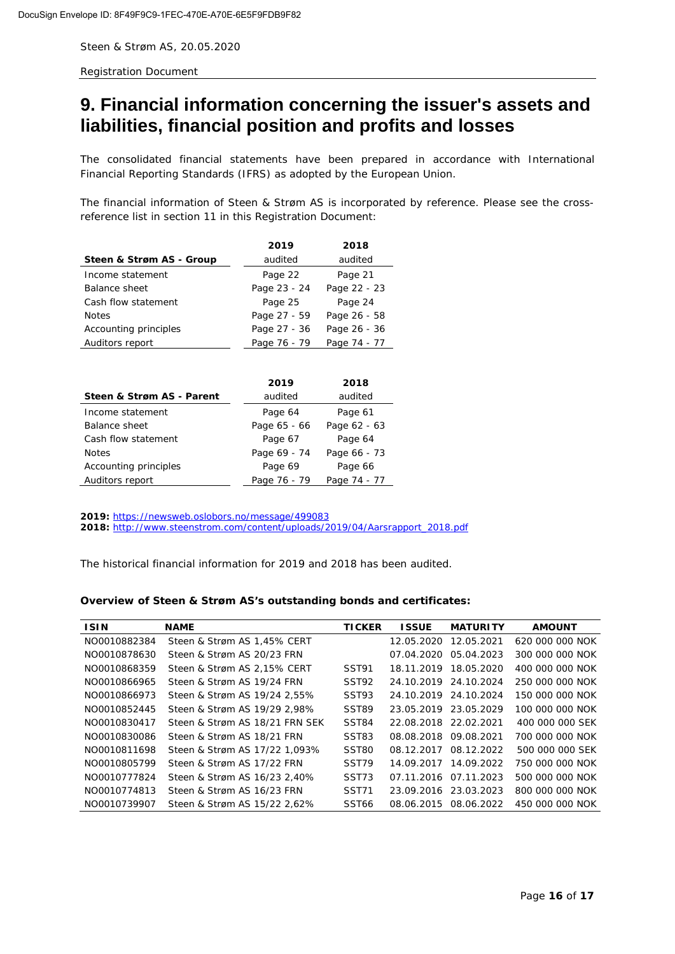<span id="page-15-0"></span>Registration Document

# **9. Financial information concerning the issuer's assets and liabilities, financial position and profits and losses**

The consolidated financial statements have been prepared in accordance with International Financial Reporting Standards (IFRS) as adopted by the European Union.

The financial information of Steen & Strøm AS is incorporated by reference. Please see the crossreference list in section 11 in this Registration Document:

|                          | 2019         | 2018         |
|--------------------------|--------------|--------------|
| Steen & Strøm AS - Group | audited      | audited      |
| Income statement         | Page 22      | Page 21      |
| <b>Balance sheet</b>     | Page 23 - 24 | Page 22 - 23 |
| Cash flow statement      | Page 25      | Page 24      |
| <b>Notes</b>             | Page 27 - 59 | Page 26 - 58 |
| Accounting principles    | Page 27 - 36 | Page 26 - 36 |
| Auditors report          | Page 76 - 79 | Page 74 - 77 |

|                           | 2019         | 2018         |
|---------------------------|--------------|--------------|
| Steen & Strøm AS - Parent | audited      | audited      |
| Income statement          | Page 64      | Page 61      |
| <b>Balance sheet</b>      | Page 65 - 66 | Page 62 - 63 |
| Cash flow statement       | Page 67      | Page 64      |
| <b>Notes</b>              | Page 69 - 74 | Page 66 - 73 |
| Accounting principles     | Page 69      | Page 66      |
| Auditors report           | Page 76 - 79 | Page 74 - 77 |

*2019: <https://newsweb.oslobors.no/message/499083> 2018: [http://www.steenstrom.com/content/uploads/2019/04/Aarsrapport\\_2018.pdf](http://www.steenstrom.com/content/uploads/2019/04/Aarsrapport_2018.pdf)*

The historical financial information for 2019 and 2018 has been audited.

#### **Overview of Steen & Strøm AS's outstanding bonds and certificates:**

| <b>ISIN</b>  | <b>NAME</b>                    | <b>TICKER</b>     | <b>ISSUE</b>          | <b>MATURITY</b>       | <b>AMOUNT</b>   |
|--------------|--------------------------------|-------------------|-----------------------|-----------------------|-----------------|
| NO0010882384 | Steen & Strøm AS 1,45% CERT    |                   |                       | 12.05.2020 12.05.2021 | 620 000 000 NOK |
| NO0010878630 | Steen & Strøm AS 20/23 FRN     |                   |                       | 07.04.2020 05.04.2023 | 300 000 000 NOK |
| NO0010868359 | Steen & Strøm AS 2.15% CERT    | SST91             |                       | 18.11.2019 18.05.2020 | 400 000 000 NOK |
| NO0010866965 | Steen & Strøm AS 19/24 FRN     | SST92             |                       | 24.10.2019 24.10.2024 | 250 000 000 NOK |
| NO0010866973 | Steen & Strøm AS 19/24 2.55%   | SST93             |                       | 24.10.2019 24.10.2024 | 150 000 000 NOK |
| NO0010852445 | Steen & Strøm AS 19/29 2.98%   | SST89             |                       | 23.05.2019 23.05.2029 | 100 000 000 NOK |
| NO0010830417 | Steen & Strøm AS 18/21 FRN SEK | SST84             | 22.08.2018 22.02.2021 |                       | 400 000 000 SEK |
| NO0010830086 | Steen & Strøm AS 18/21 FRN     | SST83             | 08.08.2018 09.08.2021 |                       | 700 000 000 NOK |
| NO0010811698 | Steen & Strøm AS 17/22 1.093%  | SST <sub>80</sub> | 08.12.2017            | 08.12.2022            | 500 000 000 SEK |
| NO0010805799 | Steen & Strøm AS 17/22 FRN     | SST <sub>79</sub> | 14.09.2017            | 14.09.2022            | 750 000 000 NOK |
| NO0010777824 | Steen & Strøm AS 16/23 2.40%   | SST <sub>73</sub> |                       | 07.11.2016 07.11.2023 | 500 000 000 NOK |
| NO0010774813 | Steen & Strøm AS 16/23 FRN     | SST71             |                       | 23.09.2016 23.03.2023 | 800 000 000 NOK |
| NO0010739907 | Steen & Strøm AS 15/22 2,62%   | SST <sub>66</sub> | 08.06.2015            | 08.06.2022            | 450 000 000 NOK |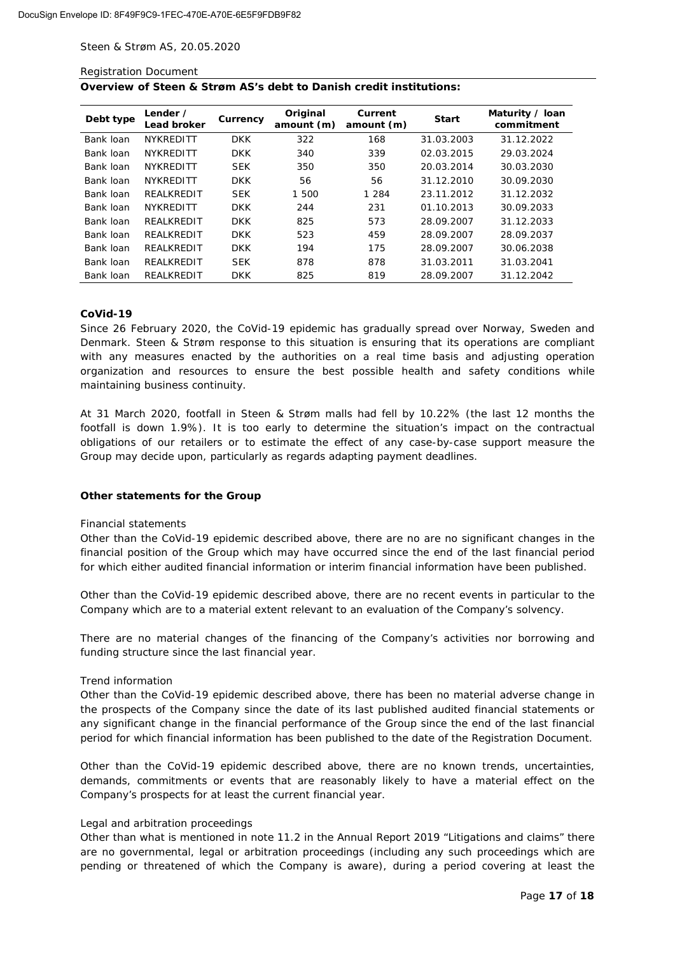#### Registration Document

| Overview of Steen & Strøm AS's debt to Danish credit institutions: |  |  |  |  |
|--------------------------------------------------------------------|--|--|--|--|
|--------------------------------------------------------------------|--|--|--|--|

| Debt type | Lender /<br><b>Lead broker</b> | Currency   | Original<br>amount (m) | Current<br>amount (m) | <b>Start</b> | Maturity / Ioan<br>commitment |
|-----------|--------------------------------|------------|------------------------|-----------------------|--------------|-------------------------------|
| Bank loan | <b>NYKREDITT</b>               | <b>DKK</b> | 322                    | 168                   | 31.03.2003   | 31.12.2022                    |
| Bank loan | <b>NYKREDITT</b>               | <b>DKK</b> | 340                    | 339                   | 02.03.2015   | 29.03.2024                    |
| Bank loan | <b>NYKREDITT</b>               | <b>SEK</b> | 350                    | 350                   | 20.03.2014   | 30.03.2030                    |
| Bank loan | <b>NYKREDITT</b>               | <b>DKK</b> | 56                     | 56                    | 31.12.2010   | 30.09.2030                    |
| Bank loan | REALKREDIT                     | <b>SEK</b> | 1 500                  | 1 2 8 4               | 23.11.2012   | 31.12.2032                    |
| Bank loan | <b>NYKREDITT</b>               | <b>DKK</b> | 244                    | 231                   | 01.10.2013   | 30.09.2033                    |
| Bank loan | REALKREDIT                     | <b>DKK</b> | 825                    | 573                   | 28.09.2007   | 31.12.2033                    |
| Bank loan | REALKREDIT                     | <b>DKK</b> | 523                    | 459                   | 28.09.2007   | 28.09.2037                    |
| Bank loan | REALKREDIT                     | <b>DKK</b> | 194                    | 175                   | 28.09.2007   | 30.06.2038                    |
| Bank loan | REALKREDIT                     | <b>SEK</b> | 878                    | 878                   | 31.03.2011   | 31.03.2041                    |
| Bank loan | REALKREDIT                     | <b>DKK</b> | 825                    | 819                   | 28.09.2007   | 31.12.2042                    |

#### **CoVid-19**

Since 26 February 2020, the CoVid-19 epidemic has gradually spread over Norway, Sweden and Denmark. Steen & Strøm response to this situation is ensuring that its operations are compliant with any measures enacted by the authorities on a real time basis and adjusting operation organization and resources to ensure the best possible health and safety conditions while maintaining business continuity.

At 31 March 2020, footfall in Steen & Strøm malls had fell by 10.22% (the last 12 months the footfall is down 1.9%). It is too early to determine the situation's impact on the contractual obligations of our retailers or to estimate the effect of any case-by-case support measure the Group may decide upon, particularly as regards adapting payment deadlines.

#### **Other statements for the Group**

#### *Financial statements*

Other than the CoVid-19 epidemic described above, there are no are no significant changes in the financial position of the Group which may have occurred since the end of the last financial period for which either audited financial information or interim financial information have been published.

Other than the CoVid-19 epidemic described above, there are no recent events in particular to the Company which are to a material extent relevant to an evaluation of the Company's solvency.

There are no material changes of the financing of the Company's activities nor borrowing and funding structure since the last financial year.

#### *Trend information*

Other than the CoVid-19 epidemic described above, there has been no material adverse change in the prospects of the Company since the date of its last published audited financial statements or any significant change in the financial performance of the Group since the end of the last financial period for which financial information has been published to the date of the Registration Document.

Other than the CoVid-19 epidemic described above, there are no known trends, uncertainties, demands, commitments or events that are reasonably likely to have a material effect on the Company's prospects for at least the current financial year.

#### *Legal and arbitration proceedings*

Other than what is mentioned in note 11.2 in the Annual Report 2019 "Litigations and claims" there are no governmental, legal or arbitration proceedings (including any such proceedings which are pending or threatened of which the Company is aware), during a period covering at least the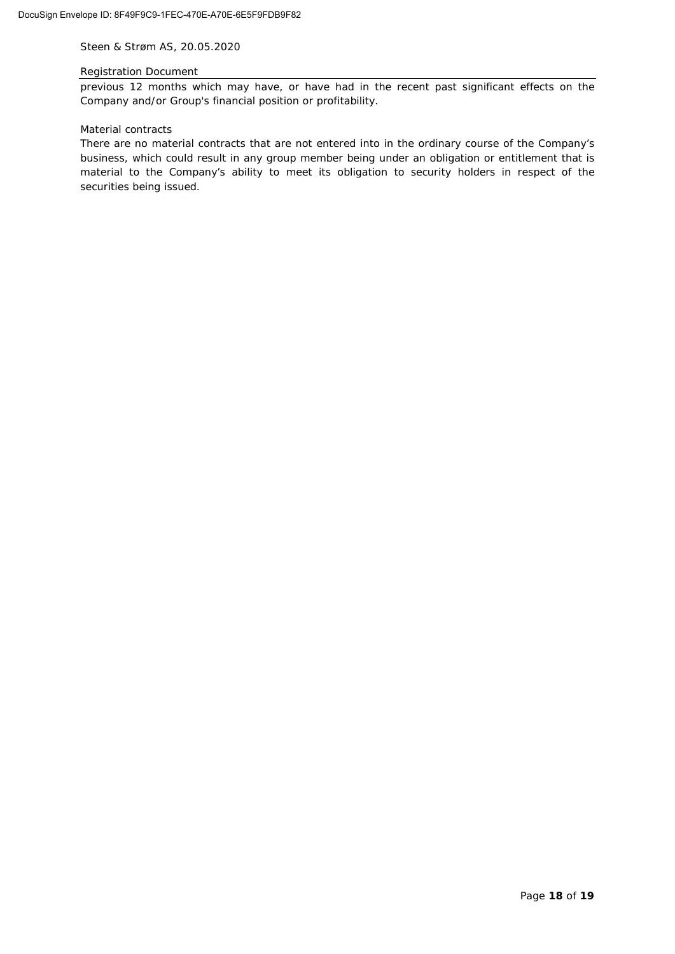#### Registration Document

previous 12 months which may have, or have had in the recent past significant effects on the Company and/or Group's financial position or profitability.

#### *Material contracts*

There are no material contracts that are not entered into in the ordinary course of the Company's business, which could result in any group member being under an obligation or entitlement that is material to the Company's ability to meet its obligation to security holders in respect of the securities being issued.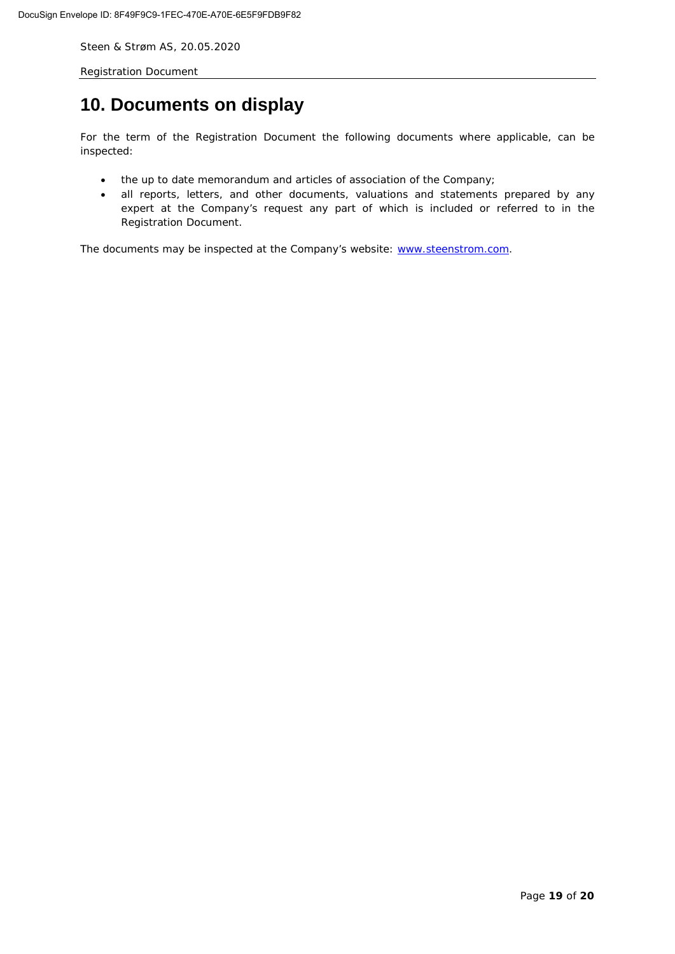<span id="page-18-0"></span>Registration Document

# **10. Documents on display**

For the term of the Registration Document the following documents where applicable, can be inspected:

- the up to date memorandum and articles of association of the Company;
- all reports, letters, and other documents, valuations and statements prepared by any expert at the Company's request any part of which is included or referred to in the Registration Document.

The documents may be inspected at the Company's website: [www.steenstrom.com.](http://www.steenstrom.com/)